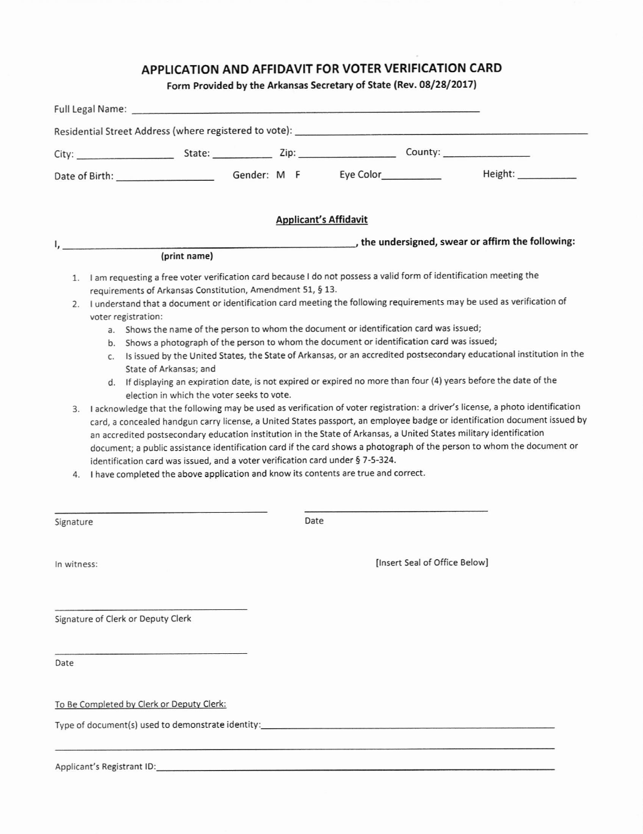# APPLICATION AND AFFIDAVIT FOR VOTER VERIFICATION CARD

## Form Provided by the Arkansas Secretary of State (Rev. 08/28/2017)

|             | <b>Applicant's Affidavit</b>                                                                                                                                                                                                                                                                                                                                                                                                                                                                                                                                                                                                                                                                                                                                                                                                                                                                                                                                                                                                                                                                                                                                                                                                                                                                                                                                                                                                                                                                                                                           |
|-------------|--------------------------------------------------------------------------------------------------------------------------------------------------------------------------------------------------------------------------------------------------------------------------------------------------------------------------------------------------------------------------------------------------------------------------------------------------------------------------------------------------------------------------------------------------------------------------------------------------------------------------------------------------------------------------------------------------------------------------------------------------------------------------------------------------------------------------------------------------------------------------------------------------------------------------------------------------------------------------------------------------------------------------------------------------------------------------------------------------------------------------------------------------------------------------------------------------------------------------------------------------------------------------------------------------------------------------------------------------------------------------------------------------------------------------------------------------------------------------------------------------------------------------------------------------------|
|             | the undersigned, swear or affirm the following:<br>(print name)                                                                                                                                                                                                                                                                                                                                                                                                                                                                                                                                                                                                                                                                                                                                                                                                                                                                                                                                                                                                                                                                                                                                                                                                                                                                                                                                                                                                                                                                                        |
|             | 1. I am requesting a free voter verification card because I do not possess a valid form of identification meeting the<br>requirements of Arkansas Constitution, Amendment 51, § 13.<br>2. I understand that a document or identification card meeting the following requirements may be used as verification of<br>voter registration:<br>a. Shows the name of the person to whom the document or identification card was issued;<br>b. Shows a photograph of the person to whom the document or identification card was issued;<br>c. Is issued by the United States, the State of Arkansas, or an accredited postsecondary educational institution in the<br>State of Arkansas; and<br>d. If displaying an expiration date, is not expired or expired no more than four (4) years before the date of the<br>election in which the voter seeks to vote.<br>3. I acknowledge that the following may be used as verification of voter registration: a driver's license, a photo identification<br>card, a concealed handgun carry license, a United States passport, an employee badge or identification document issued by<br>an accredited postsecondary education institution in the State of Arkansas, a United States military identification<br>document; a public assistance identification card if the card shows a photograph of the person to whom the document or<br>identification card was issued, and a voter verification card under § 7-5-324.<br>4. I have completed the above application and know its contents are true and correct. |
| Signature   | Date                                                                                                                                                                                                                                                                                                                                                                                                                                                                                                                                                                                                                                                                                                                                                                                                                                                                                                                                                                                                                                                                                                                                                                                                                                                                                                                                                                                                                                                                                                                                                   |
| In witness: | [Insert Seal of Office Below]                                                                                                                                                                                                                                                                                                                                                                                                                                                                                                                                                                                                                                                                                                                                                                                                                                                                                                                                                                                                                                                                                                                                                                                                                                                                                                                                                                                                                                                                                                                          |
|             | Signature of Clerk or Deputy Clerk                                                                                                                                                                                                                                                                                                                                                                                                                                                                                                                                                                                                                                                                                                                                                                                                                                                                                                                                                                                                                                                                                                                                                                                                                                                                                                                                                                                                                                                                                                                     |
| Date        |                                                                                                                                                                                                                                                                                                                                                                                                                                                                                                                                                                                                                                                                                                                                                                                                                                                                                                                                                                                                                                                                                                                                                                                                                                                                                                                                                                                                                                                                                                                                                        |
|             | To Be Completed by Clerk or Deputy Clerk:                                                                                                                                                                                                                                                                                                                                                                                                                                                                                                                                                                                                                                                                                                                                                                                                                                                                                                                                                                                                                                                                                                                                                                                                                                                                                                                                                                                                                                                                                                              |
|             |                                                                                                                                                                                                                                                                                                                                                                                                                                                                                                                                                                                                                                                                                                                                                                                                                                                                                                                                                                                                                                                                                                                                                                                                                                                                                                                                                                                                                                                                                                                                                        |
|             |                                                                                                                                                                                                                                                                                                                                                                                                                                                                                                                                                                                                                                                                                                                                                                                                                                                                                                                                                                                                                                                                                                                                                                                                                                                                                                                                                                                                                                                                                                                                                        |